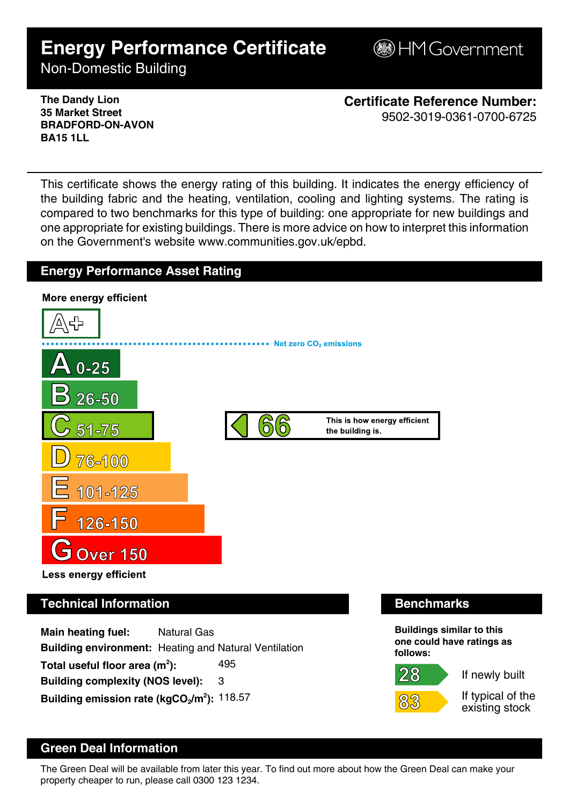# **Energy Performance Certificate**

**B**HM Government

Non-Domestic Building

**The Dandy Lion 35 Market Street BRADFORD-ON-AVON BA15 1LL**

**Certificate Reference Number:** 9502-3019-0361-0700-6725

This certificate shows the energy rating of this building. It indicates the energy efficiency of the building fabric and the heating, ventilation, cooling and lighting systems. The rating is compared to two benchmarks for this type of building: one appropriate for new buildings and one appropriate for existing buildings. There is more advice on how to interpret this information on the Government's website www.communities.gov.uk/epbd.

# **Energy Performance Asset Rating**



# **Technical Information Benchmarks**

**Main heating fuel:** Natural Gas **Building environment:** Heating and Natural Ventilation Total useful floor area (m<sup>2</sup>): **):** 495 **Building complexity (NOS level):** 3 **Building emission rate (kgCO2/m<sup>2</sup> ):** 118.57

 $28 \,$ 

**Buildings similar to this one could have ratings as follows:**

If newly built

If typical of the existing stock

# **Green Deal Information**

The Green Deal will be available from later this year. To find out more about how the Green Deal can make your property cheaper to run, please call 0300 123 1234.